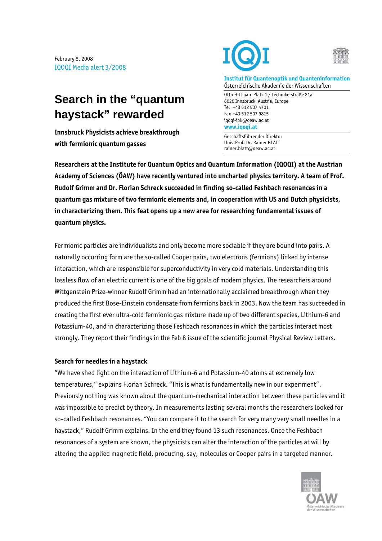February 8, 2008 IQOQI Media alert 3/2008

## **Search in the "quantum haystack" rewarded**

**Innsbruck Physicists achieve breakthrough with fermionic quantum gasses** 





**Institut für Quantenoptik und Quanteninformation**  Österreichische Akademie der Wissenschaften

Otto Hittmair-Platz 1 / Technikerstraße 21a 6020 Innsbruck, Austria, Europe Tel +43 512 507 4701 Fax +43 512 507 9815 iqoqi-ibk@oeaw.ac.at **www.iqoqi.at** 

Geschäftsführender Direktor Univ.Prof. Dr. Rainer BLATT rainer.blatt@oeaw.ac.at

**Researchers at the Institute for Quantum Optics and Quantum Information (IQOQI) at the Austrian Academy of Sciences (ÖAW) have recently ventured into uncharted physics territory. A team of Prof. Rudolf Grimm and Dr. Florian Schreck succeeded in finding so-called Feshbach resonances in a quantum gas mixture of two fermionic elements and, in cooperation with US and Dutch physicists, in characterizing them. This feat opens up a new area for researching fundamental issues of quantum physics.** 

Fermionic particles are individualists and only become more sociable if they are bound into pairs. A naturally occurring form are the so-called Cooper pairs, two electrons (fermions) linked by intense interaction, which are responsible for superconductivity in very cold materials. Understanding this lossless flow of an electric current is one of the big goals of modern physics. The researchers around Wittgenstein Prize-winner Rudolf Grimm had an internationally acclaimed breakthrough when they produced the first Bose-Einstein condensate from fermions back in 2003. Now the team has succeeded in creating the first ever ultra-cold fermionic gas mixture made up of two different species, Lithium-6 and Potassium-40, and in characterizing those Feshbach resonances in which the particles interact most strongly. They report their findings in the Feb 8 issue of the scientific journal Physical Review Letters.

## **Search for needles in a haystack**

"We have shed light on the interaction of Lithium-6 and Potassium-40 atoms at extremely low temperatures," explains Florian Schreck. "This is what is fundamentally new in our experiment". Previously nothing was known about the quantum-mechanical interaction between these particles and it was impossible to predict by theory. In measurements lasting several months the researchers looked for so-called Feshbach resonances. "You can compare it to the search for very many very small needles in a haystack," Rudolf Grimm explains. In the end they found 13 such resonances. Once the Feshbach resonances of a system are known, the physicists can alter the interaction of the particles at will by altering the applied magnetic field, producing, say, molecules or Cooper pairs in a targeted manner.

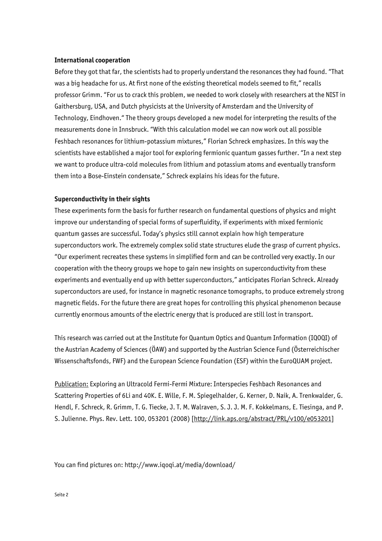## **International cooperation**

Before they got that far, the scientists had to properly understand the resonances they had found. "That was a big headache for us. At first none of the existing theoretical models seemed to fit," recalls professor Grimm. "For us to crack this problem, we needed to work closely with researchers at the NIST in Gaithersburg, USA, and Dutch physicists at the University of Amsterdam and the University of Technology, Eindhoven." The theory groups developed a new model for interpreting the results of the measurements done in Innsbruck. "With this calculation model we can now work out all possible Feshbach resonances for lithium-potassium mixtures," Florian Schreck emphasizes. In this way the scientists have established a major tool for exploring fermionic quantum gasses further. "In a next step we want to produce ultra-cold molecules from lithium and potassium atoms and eventually transform them into a Bose-Einstein condensate," Schreck explains his ideas for the future.

## **Superconductivity in their sights**

These experiments form the basis for further research on fundamental questions of physics and might improve our understanding of special forms of superfluidity, if experiments with mixed fermionic quantum gasses are successful. Today's physics still cannot explain how high temperature superconductors work. The extremely complex solid state structures elude the grasp of current physics. "Our experiment recreates these systems in simplified form and can be controlled very exactly. In our cooperation with the theory groups we hope to gain new insights on superconductivity from these experiments and eventually end up with better superconductors," anticipates Florian Schreck. Already superconductors are used, for instance in magnetic resonance tomographs, to produce extremely strong magnetic fields. For the future there are great hopes for controlling this physical phenomenon because currently enormous amounts of the electric energy that is produced are still lost in transport.

This research was carried out at the Institute for Quantum Optics and Quantum Information (IQOQI) of the Austrian Academy of Sciences (ÖAW) and supported by the Austrian Science Fund (Österreichischer Wissenschaftsfonds, FWF) and the European Science Foundation (ESF) within the EuroQUAM project.

Publication: Exploring an Ultracold Fermi-Fermi Mixture: Interspecies Feshbach Resonances and Scattering Properties of 6Li and 40K. E. Wille, F. M. Spiegelhalder, G. Kerner, D. Naik, A. Trenkwalder, G. Hendl, F. Schreck, R. Grimm, T. G. Tiecke, J. T. M. Walraven, S. J. J. M. F. Kokkelmans, E. Tiesinga, and P. S. Julienne. Phys. Rev. Lett. 100, 053201 (2008) [http://link.aps.org/abstract/PRL/v100/e053201]

You can find pictures on: http://www.iqoqi.at/media/download/